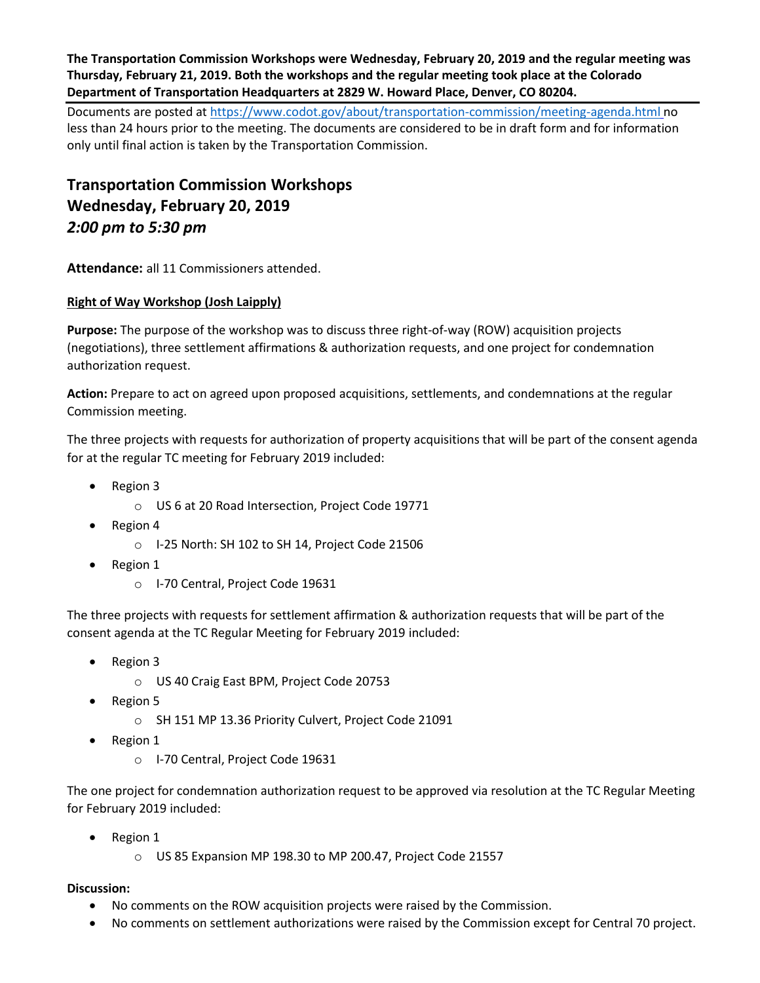**The Transportation Commission Workshops were Wednesday, February 20, 2019 and the regular meeting was Thursday, February 21, 2019. Both the workshops and the regular meeting took place at the Colorado Department of Transportation Headquarters at 2829 W. Howard Place, Denver, CO 80204.**

Documents are posted at<https://www.codot.gov/about/transportation-commission/meeting-agenda.html> no less than 24 hours prior to the meeting. The documents are considered to be in draft form and for information only until final action is taken by the Transportation Commission.

**Transportation Commission Workshops Wednesday, February 20, 2019** *2:00 pm to 5:30 pm*

**Attendance:** all 11 Commissioners attended.

#### **[Right of Way Workshop \(Josh Laipply\)](https://www.codot.gov/about/transportation-commission/documents/2018-agendas-and-supporting-documents/december-2018/tc-row-2018-12-final.pdf)**

**Purpose:** The purpose of the workshop was to discuss three right-of-way (ROW) acquisition projects (negotiations), three settlement affirmations & authorization requests, and one project for condemnation authorization request.

**Action:** Prepare to act on agreed upon proposed acquisitions, settlements, and condemnations at the regular Commission meeting.

The three projects with requests for authorization of property acquisitions that will be part of the consent agenda for at the regular TC meeting for February 2019 included:

- Region 3
	- o US 6 at 20 Road Intersection, Project Code 19771
- Region 4
	- o I-25 North: SH 102 to SH 14, Project Code 21506
- Region 1
	- o I-70 Central, Project Code 19631

The three projects with requests for settlement affirmation & authorization requests that will be part of the consent agenda at the TC Regular Meeting for February 2019 included:

- Region 3
	- o US 40 Craig East BPM, Project Code 20753
- Region 5
	- o SH 151 MP 13.36 Priority Culvert, Project Code 21091
- Region 1
	- o I-70 Central, Project Code 19631

The one project for condemnation authorization request to be approved via resolution at the TC Regular Meeting for February 2019 included:

- Region 1
	- o US 85 Expansion MP 198.30 to MP 200.47, Project Code 21557

#### **Discussion:**

- No comments on the ROW acquisition projects were raised by the Commission.
- No comments on settlement authorizations were raised by the Commission except for Central 70 project.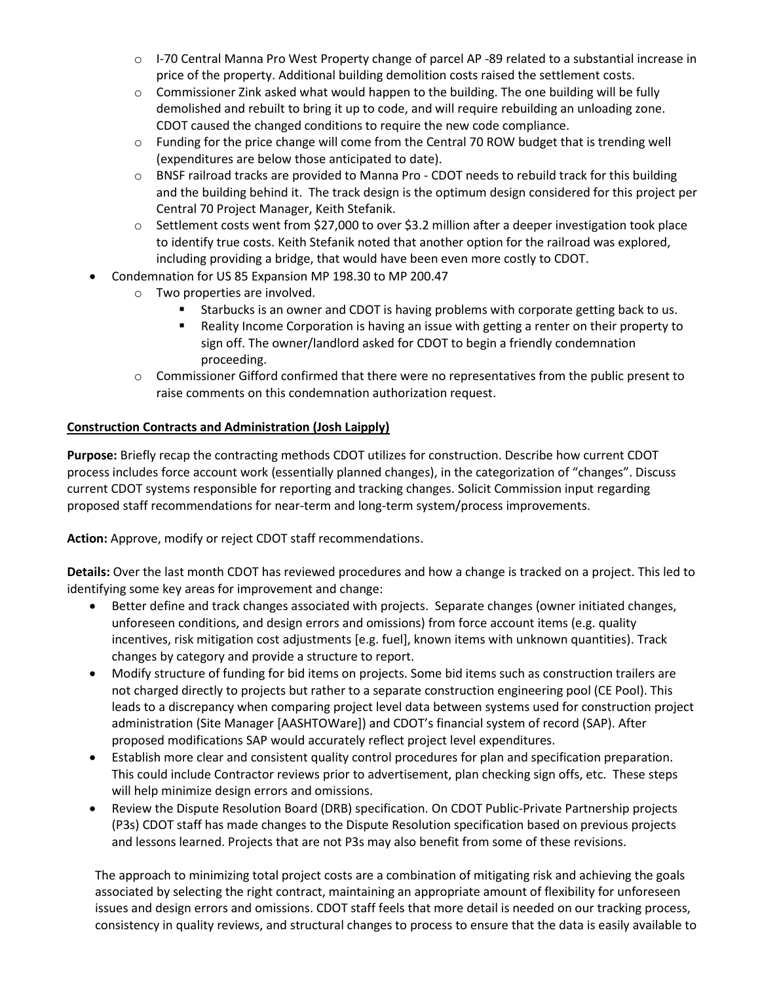- $\circ$  I-70 Central Manna Pro West Property change of parcel AP -89 related to a substantial increase in price of the property. Additional building demolition costs raised the settlement costs.
- $\circ$  Commissioner Zink asked what would happen to the building. The one building will be fully demolished and rebuilt to bring it up to code, and will require rebuilding an unloading zone. CDOT caused the changed conditions to require the new code compliance.
- $\circ$  Funding for the price change will come from the Central 70 ROW budget that is trending well (expenditures are below those anticipated to date).
- $\circ$  BNSF railroad tracks are provided to Manna Pro CDOT needs to rebuild track for this building and the building behind it. The track design is the optimum design considered for this project per Central 70 Project Manager, Keith Stefanik.
- o Settlement costs went from \$27,000 to over \$3.2 million after a deeper investigation took place to identify true costs. Keith Stefanik noted that another option for the railroad was explored, including providing a bridge, that would have been even more costly to CDOT.
- Condemnation for US 85 Expansion MP 198.30 to MP 200.47
	- o Two properties are involved.
		- Starbucks is an owner and CDOT is having problems with corporate getting back to us.
		- Reality Income Corporation is having an issue with getting a renter on their property to sign off. The owner/landlord asked for CDOT to begin a friendly condemnation proceeding.
	- $\circ$  Commissioner Gifford confirmed that there were no representatives from the public present to raise comments on this condemnation authorization request.

## **[Construction](https://www.codot.gov/about/transportation-commission/documents/2018-agendas-and-supporting-documents/december-2018/1-rest-areas.pdf) Contracts and Administration (Josh Laipply)**

**Purpose:** Briefly recap the contracting methods CDOT utilizes for construction. Describe how current CDOT process includes force account work (essentially planned changes), in the categorization of "changes". Discuss current CDOT systems responsible for reporting and tracking changes. Solicit Commission input regarding proposed staff recommendations for near-term and long-term system/process improvements.

**Action:** Approve, modify or reject CDOT staff recommendations.

**Details:** Over the last month CDOT has reviewed procedures and how a change is tracked on a project. This led to identifying some key areas for improvement and change:

- Better define and track changes associated with projects. Separate changes (owner initiated changes, unforeseen conditions, and design errors and omissions) from force account items (e.g. quality incentives, risk mitigation cost adjustments [e.g. fuel], known items with unknown quantities). Track changes by category and provide a structure to report.
- Modify structure of funding for bid items on projects. Some bid items such as construction trailers are not charged directly to projects but rather to a separate construction engineering pool (CE Pool). This leads to a discrepancy when comparing project level data between systems used for construction project administration (Site Manager [AASHTOWare]) and CDOT's financial system of record (SAP). After proposed modifications SAP would accurately reflect project level expenditures.
- Establish more clear and consistent quality control procedures for plan and specification preparation. This could include Contractor reviews prior to advertisement, plan checking sign offs, etc. These steps will help minimize design errors and omissions.
- Review the Dispute Resolution Board (DRB) specification. On CDOT Public-Private Partnership projects (P3s) CDOT staff has made changes to the Dispute Resolution specification based on previous projects and lessons learned. Projects that are not P3s may also benefit from some of these revisions.

The approach to minimizing total project costs are a combination of mitigating risk and achieving the goals associated by selecting the right contract, maintaining an appropriate amount of flexibility for unforeseen issues and design errors and omissions. CDOT staff feels that more detail is needed on our tracking process, consistency in quality reviews, and structural changes to process to ensure that the data is easily available to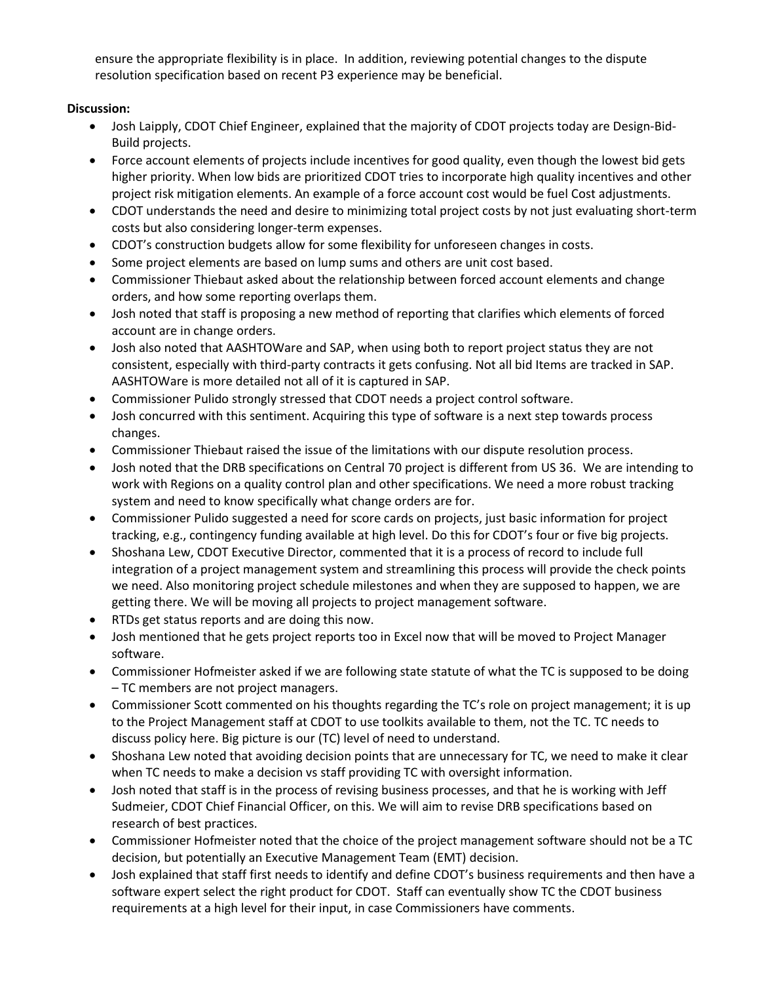ensure the appropriate flexibility is in place. In addition, reviewing potential changes to the dispute resolution specification based on recent P3 experience may be beneficial.

## **Discussion:**

- Josh Laipply, CDOT Chief Engineer, explained that the majority of CDOT projects today are Design-Bid-Build projects.
- Force account elements of projects include incentives for good quality, even though the lowest bid gets higher priority. When low bids are prioritized CDOT tries to incorporate high quality incentives and other project risk mitigation elements. An example of a force account cost would be fuel Cost adjustments.
- CDOT understands the need and desire to minimizing total project costs by not just evaluating short-term costs but also considering longer-term expenses.
- CDOT's construction budgets allow for some flexibility for unforeseen changes in costs.
- Some project elements are based on lump sums and others are unit cost based.
- Commissioner Thiebaut asked about the relationship between forced account elements and change orders, and how some reporting overlaps them.
- Josh noted that staff is proposing a new method of reporting that clarifies which elements of forced account are in change orders.
- Josh also noted that AASHTOWare and SAP, when using both to report project status they are not consistent, especially with third-party contracts it gets confusing. Not all bid Items are tracked in SAP. AASHTOWare is more detailed not all of it is captured in SAP.
- Commissioner Pulido strongly stressed that CDOT needs a project control software.
- Josh concurred with this sentiment. Acquiring this type of software is a next step towards process changes.
- Commissioner Thiebaut raised the issue of the limitations with our dispute resolution process.
- Josh noted that the DRB specifications on Central 70 project is different from US 36. We are intending to work with Regions on a quality control plan and other specifications. We need a more robust tracking system and need to know specifically what change orders are for.
- Commissioner Pulido suggested a need for score cards on projects, just basic information for project tracking, e.g., contingency funding available at high level. Do this for CDOT's four or five big projects.
- Shoshana Lew, CDOT Executive Director, commented that it is a process of record to include full integration of a project management system and streamlining this process will provide the check points we need. Also monitoring project schedule milestones and when they are supposed to happen, we are getting there. We will be moving all projects to project management software.
- RTDs get status reports and are doing this now.
- Josh mentioned that he gets project reports too in Excel now that will be moved to Project Manager software.
- Commissioner Hofmeister asked if we are following state statute of what the TC is supposed to be doing – TC members are not project managers.
- Commissioner Scott commented on his thoughts regarding the TC's role on project management; it is up to the Project Management staff at CDOT to use toolkits available to them, not the TC. TC needs to discuss policy here. Big picture is our (TC) level of need to understand.
- Shoshana Lew noted that avoiding decision points that are unnecessary for TC, we need to make it clear when TC needs to make a decision vs staff providing TC with oversight information.
- Josh noted that staff is in the process of revising business processes, and that he is working with Jeff Sudmeier, CDOT Chief Financial Officer, on this. We will aim to revise DRB specifications based on research of best practices.
- Commissioner Hofmeister noted that the choice of the project management software should not be a TC decision, but potentially an Executive Management Team (EMT) decision.
- Josh explained that staff first needs to identify and define CDOT's business requirements and then have a software expert select the right product for CDOT. Staff can eventually show TC the CDOT business requirements at a high level for their input, in case Commissioners have comments.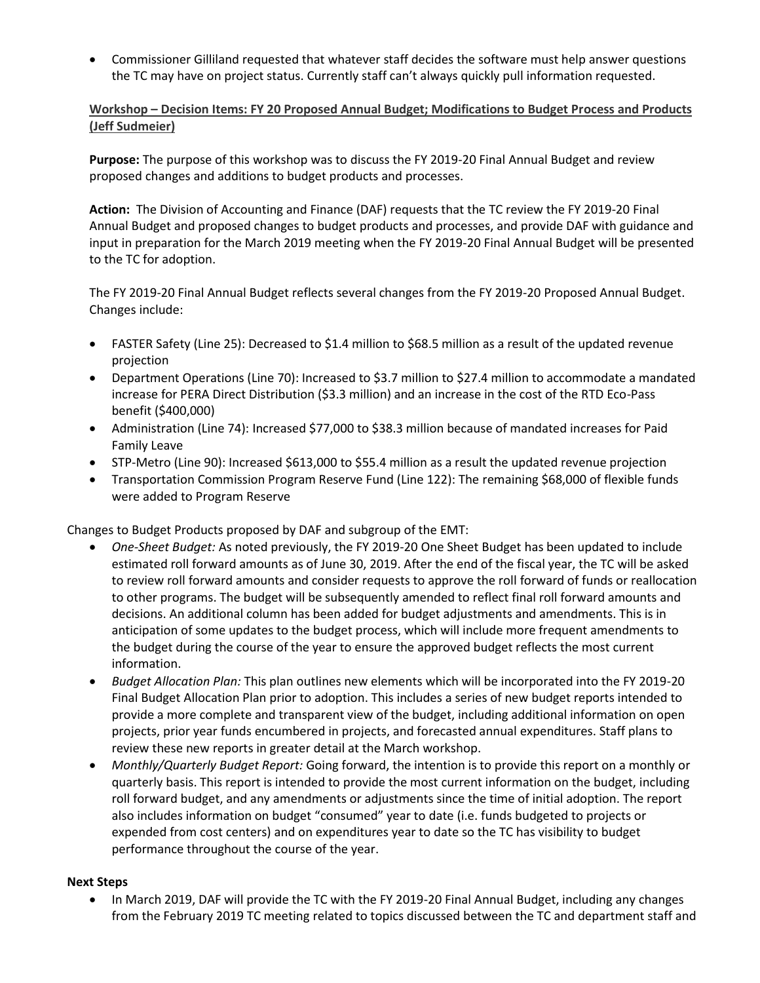Commissioner Gilliland requested that whatever staff decides the software must help answer questions the TC may have on project status. Currently staff can't always quickly pull information requested.

**Workshop – Decision Items: FY 20 Proposed Annual Budget; Modifications to Budget Process and Products (Jeff Sudmeier)**

**Purpose:** The purpose of this workshop was to discuss the FY 2019-20 Final Annual Budget and review proposed changes and additions to budget products and processes.

**Action:** The Division of Accounting and Finance (DAF) requests that the TC review the FY 2019-20 Final Annual Budget and proposed changes to budget products and processes, and provide DAF with guidance and input in preparation for the March 2019 meeting when the FY 2019-20 Final Annual Budget will be presented to the TC for adoption.

The FY 2019-20 Final Annual Budget reflects several changes from the FY 2019-20 Proposed Annual Budget. Changes include:

- FASTER Safety (Line 25): Decreased to \$1.4 million to \$68.5 million as a result of the updated revenue projection
- Department Operations (Line 70): Increased to \$3.7 million to \$27.4 million to accommodate a mandated increase for PERA Direct Distribution (\$3.3 million) and an increase in the cost of the RTD Eco-Pass benefit (\$400,000)
- Administration (Line 74): Increased \$77,000 to \$38.3 million because of mandated increases for Paid Family Leave
- STP-Metro (Line 90): Increased \$613,000 to \$55.4 million as a result the updated revenue projection
- Transportation Commission Program Reserve Fund (Line 122): The remaining \$68,000 of flexible funds were added to Program Reserve

Changes to Budget Products proposed by DAF and subgroup of the EMT:

- *One-Sheet Budget:* As noted previously, the FY 2019-20 One Sheet Budget has been updated to include estimated roll forward amounts as of June 30, 2019. After the end of the fiscal year, the TC will be asked to review roll forward amounts and consider requests to approve the roll forward of funds or reallocation to other programs. The budget will be subsequently amended to reflect final roll forward amounts and decisions. An additional column has been added for budget adjustments and amendments. This is in anticipation of some updates to the budget process, which will include more frequent amendments to the budget during the course of the year to ensure the approved budget reflects the most current information.
- *Budget Allocation Plan:* This plan outlines new elements which will be incorporated into the FY 2019-20 Final Budget Allocation Plan prior to adoption. This includes a series of new budget reports intended to provide a more complete and transparent view of the budget, including additional information on open projects, prior year funds encumbered in projects, and forecasted annual expenditures. Staff plans to review these new reports in greater detail at the March workshop.
- *Monthly/Quarterly Budget Report:* Going forward, the intention is to provide this report on a monthly or quarterly basis. This report is intended to provide the most current information on the budget, including roll forward budget, and any amendments or adjustments since the time of initial adoption. The report also includes information on budget "consumed" year to date (i.e. funds budgeted to projects or expended from cost centers) and on expenditures year to date so the TC has visibility to budget performance throughout the course of the year.

#### **Next Steps**

 In March 2019, DAF will provide the TC with the FY 2019-20 Final Annual Budget, including any changes from the February 2019 TC meeting related to topics discussed between the TC and department staff and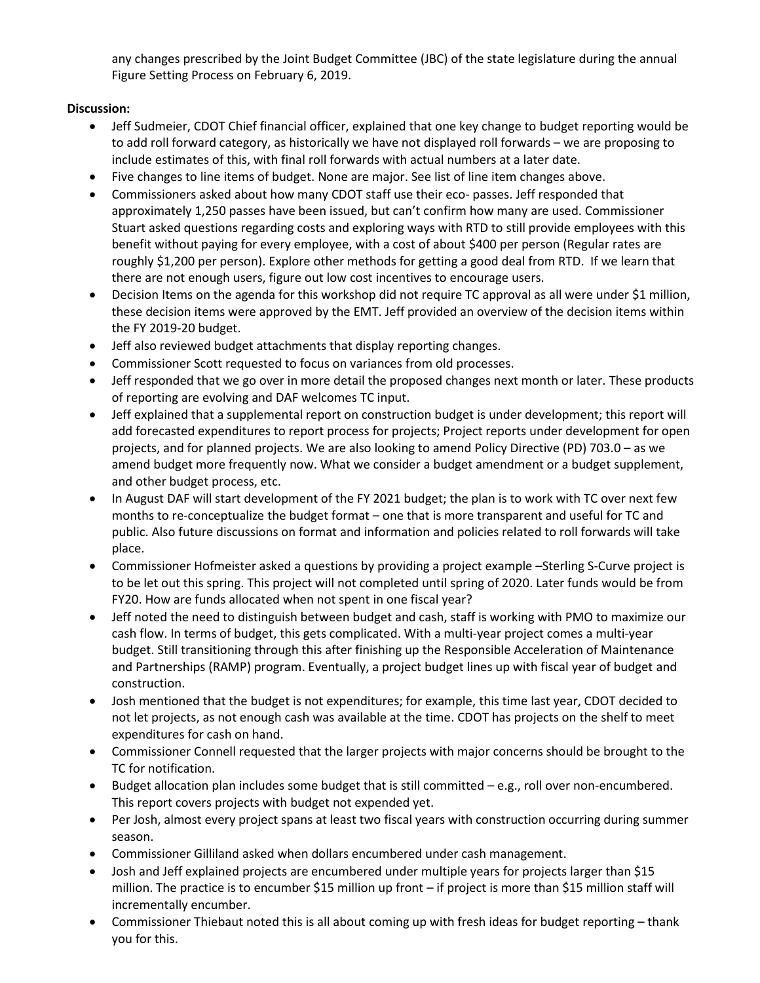any changes prescribed by the Joint Budget Committee (JBC) of the state legislature during the annual Figure Setting Process on February 6, 2019.

## **Discussion:**

- Jeff Sudmeier, CDOT Chief financial officer, explained that one key change to budget reporting would be to add roll forward category, as historically we have not displayed roll forwards – we are proposing to include estimates of this, with final roll forwards with actual numbers at a later date.
- Five changes to line items of budget. None are major. See list of line item changes above.
- Commissioners asked about how many CDOT staff use their eco- passes. Jeff responded that approximately 1,250 passes have been issued, but can't confirm how many are used. Commissioner Stuart asked questions regarding costs and exploring ways with RTD to still provide employees with this benefit without paying for every employee, with a cost of about \$400 per person (Regular rates are roughly \$1,200 per person). Explore other methods for getting a good deal from RTD. If we learn that there are not enough users, figure out low cost incentives to encourage users.
- Decision Items on the agenda for this workshop did not require TC approval as all were under \$1 million, these decision items were approved by the EMT. Jeff provided an overview of the decision items within the FY 2019-20 budget.
- Jeff also reviewed budget attachments that display reporting changes.
- Commissioner Scott requested to focus on variances from old processes.
- Jeff responded that we go over in more detail the proposed changes next month or later. These products of reporting are evolving and DAF welcomes TC input.
- Jeff explained that a supplemental report on construction budget is under development; this report will add forecasted expenditures to report process for projects; Project reports under development for open projects, and for planned projects. We are also looking to amend Policy Directive (PD) 703.0 – as we amend budget more frequently now. What we consider a budget amendment or a budget supplement, and other budget process, etc.
- In August DAF will start development of the FY 2021 budget; the plan is to work with TC over next few months to re-conceptualize the budget format – one that is more transparent and useful for TC and public. Also future discussions on format and information and policies related to roll forwards will take place.
- Commissioner Hofmeister asked a questions by providing a project example –Sterling S-Curve project is to be let out this spring. This project will not completed until spring of 2020. Later funds would be from FY20. How are funds allocated when not spent in one fiscal year?
- Jeff noted the need to distinguish between budget and cash, staff is working with PMO to maximize our cash flow. In terms of budget, this gets complicated. With a multi-year project comes a multi-year budget. Still transitioning through this after finishing up the Responsible Acceleration of Maintenance and Partnerships (RAMP) program. Eventually, a project budget lines up with fiscal year of budget and construction.
- Josh mentioned that the budget is not expenditures; for example, this time last year, CDOT decided to not let projects, as not enough cash was available at the time. CDOT has projects on the shelf to meet expenditures for cash on hand.
- Commissioner Connell requested that the larger projects with major concerns should be brought to the TC for notification.
- $\bullet$  Budget allocation plan includes some budget that is still committed  $-e.g.,$  roll over non-encumbered. This report covers projects with budget not expended yet.
- Per Josh, almost every project spans at least two fiscal years with construction occurring during summer season.
- Commissioner Gilliland asked when dollars encumbered under cash management.
- Josh and Jeff explained projects are encumbered under multiple years for projects larger than \$15 million. The practice is to encumber \$15 million up front – if project is more than \$15 million staff will incrementally encumber.
- Commissioner Thiebaut noted this is all about coming up with fresh ideas for budget reporting thank you for this.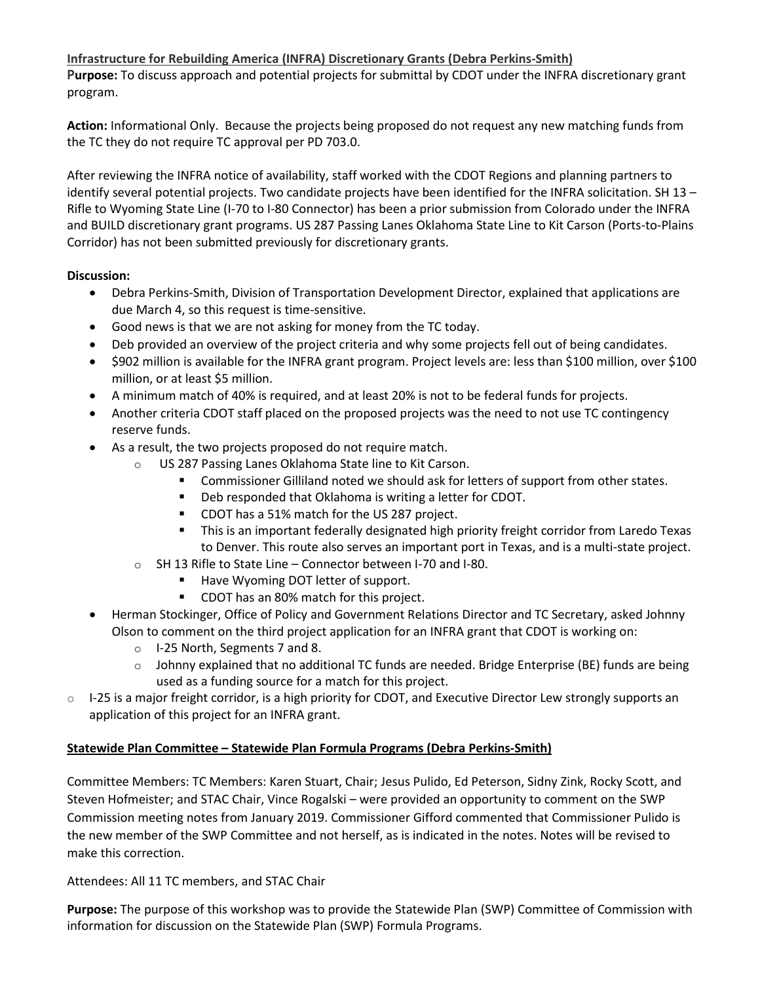## **Infrastructure for Rebuilding America (INFRA) Discretionary Grants (Debra Perkins-Smith)**

**Purpose:** To discuss approach and potential projects for submittal by CDOT under the INFRA discretionary grant program.

**Action:** Informational Only. Because the projects being proposed do not request any new matching funds from the TC they do not require TC approval per PD 703.0.

After reviewing the INFRA notice of availability, staff worked with the CDOT Regions and planning partners to identify several potential projects. Two candidate projects have been identified for the INFRA solicitation. SH 13 – Rifle to Wyoming State Line (I-70 to I-80 Connector) has been a prior submission from Colorado under the INFRA and BUILD discretionary grant programs. US 287 Passing Lanes Oklahoma State Line to Kit Carson (Ports-to-Plains Corridor) has not been submitted previously for discretionary grants.

## **Discussion:**

- Debra Perkins-Smith, Division of Transportation Development Director, explained that applications are due March 4, so this request is time-sensitive.
- Good news is that we are not asking for money from the TC today.
- Deb provided an overview of the project criteria and why some projects fell out of being candidates.
- \$902 million is available for the INFRA grant program. Project levels are: less than \$100 million, over \$100 million, or at least \$5 million.
- A minimum match of 40% is required, and at least 20% is not to be federal funds for projects.
- Another criteria CDOT staff placed on the proposed projects was the need to not use TC contingency reserve funds.
- As a result, the two projects proposed do not require match.
	- o US 287 Passing Lanes Oklahoma State line to Kit Carson.
		- **Commissioner Gilliland noted we should ask for letters of support from other states.**
		- Deb responded that Oklahoma is writing a letter for CDOT.
		- CDOT has a 51% match for the US 287 project.
		- **This is an important federally designated high priority freight corridor from Laredo Texas** to Denver. This route also serves an important port in Texas, and is a multi-state project.
	- o SH 13 Rifle to State Line Connector between I-70 and I-80.
		- Have Wyoming DOT letter of support.
		- **CDOT** has an 80% match for this project.
- Herman Stockinger, Office of Policy and Government Relations Director and TC Secretary, asked Johnny Olson to comment on the third project application for an INFRA grant that CDOT is working on:
	- o I-25 North, Segments 7 and 8.
	- $\circ$  Johnny explained that no additional TC funds are needed. Bridge Enterprise (BE) funds are being used as a funding source for a match for this project.
- $\circ$  I-25 is a major freight corridor, is a high priority for CDOT, and Executive Director Lew strongly supports an [application of this project for an INFRA grant.](https://www.codot.gov/about/transportation-commission/documents/2018-agendas-and-supporting-documents/december-2018/4-mobility-choice.pdf)

## **Statewide Plan Committee – [Statewide Plan Formula Programs \(Debra](https://www.codot.gov/about/transportation-commission/documents/2018-agendas-and-supporting-documents/december-2018/4-mobility-choice.pdf) Perkins-Smith)**

Committee Members: TC Members: Karen Stuart, Chair; Jesus Pulido, Ed Peterson, Sidny Zink, Rocky Scott, and Steven Hofmeister; and STAC Chair, Vince Rogalski – were provided an opportunity to comment on the SWP Commission meeting notes from January 2019. Commissioner Gifford commented that Commissioner Pulido is the new member of the SWP Committee and not herself, as is indicated in the notes. Notes will be revised to make this correction.

Attendees: All 11 TC members, and STAC Chair

**Purpose:** The purpose of this workshop was to provide the Statewide Plan (SWP) Committee of Commission with information for discussion on the Statewide Plan (SWP) Formula Programs.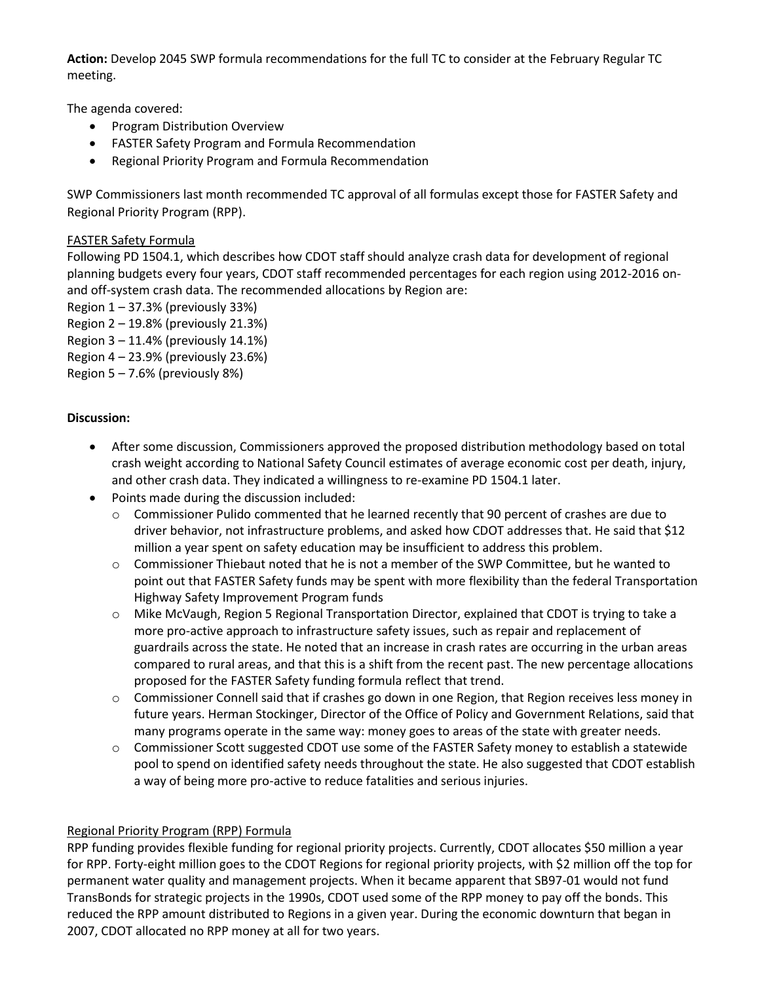**Action:** Develop 2045 SWP formula recommendations for the full TC to consider at the February Regular TC meeting.

The agenda covered:

- Program Distribution Overview
- FASTER Safety Program and Formula Recommendation
- Regional Priority Program and Formula Recommendation

SWP Commissioners last month recommended TC approval of all formulas except those for FASTER Safety and Regional Priority Program (RPP).

#### FASTER Safety Formula

Following PD 1504.1, which describes how CDOT staff should analyze crash data for development of regional planning budgets every four years, CDOT staff recommended percentages for each region using 2012-2016 onand off-system crash data. The recommended allocations by Region are:

Region  $1 - 37.3%$  (previously 33%)

Region 2 – 19.8% (previously 21.3%)

Region 3 – 11.4% (previously 14.1%)

Region 4 – 23.9% (previously 23.6%)

Region  $5 - 7.6%$  (previously 8%)

## **Discussion:**

- After some discussion, Commissioners approved the proposed distribution methodology based on total crash weight according to National Safety Council estimates of average economic cost per death, injury, and other crash data. They indicated a willingness to re-examine PD 1504.1 later.
- Points made during the discussion included:
	- $\circ$  Commissioner Pulido commented that he learned recently that 90 percent of crashes are due to driver behavior, not infrastructure problems, and asked how CDOT addresses that. He said that \$12 million a year spent on safety education may be insufficient to address this problem.
	- o Commissioner Thiebaut noted that he is not a member of the SWP Committee, but he wanted to point out that FASTER Safety funds may be spent with more flexibility than the federal Transportation Highway Safety Improvement Program funds
	- o Mike McVaugh, Region 5 Regional Transportation Director, explained that CDOT is trying to take a more pro-active approach to infrastructure safety issues, such as repair and replacement of guardrails across the state. He noted that an increase in crash rates are occurring in the urban areas compared to rural areas, and that this is a shift from the recent past. The new percentage allocations proposed for the FASTER Safety funding formula reflect that trend.
	- $\circ$  Commissioner Connell said that if crashes go down in one Region, that Region receives less money in future years. Herman Stockinger, Director of the Office of Policy and Government Relations, said that many programs operate in the same way: money goes to areas of the state with greater needs.
	- o Commissioner Scott suggested CDOT use some of the FASTER Safety money to establish a statewide pool to spend on identified safety needs throughout the state. He also suggested that CDOT establish a way of being more pro-active to reduce fatalities and serious injuries.

## Regional Priority Program (RPP) Formula

RPP funding provides flexible funding for regional priority projects. Currently, CDOT allocates \$50 million a year for RPP. Forty-eight million goes to the CDOT Regions for regional priority projects, with \$2 million off the top for permanent water quality and management projects. When it became apparent that SB97-01 would not fund TransBonds for strategic projects in the 1990s, CDOT used some of the RPP money to pay off the bonds. This reduced the RPP amount distributed to Regions in a given year. During the economic downturn that began in 2007, CDOT allocated no RPP money at all for two years.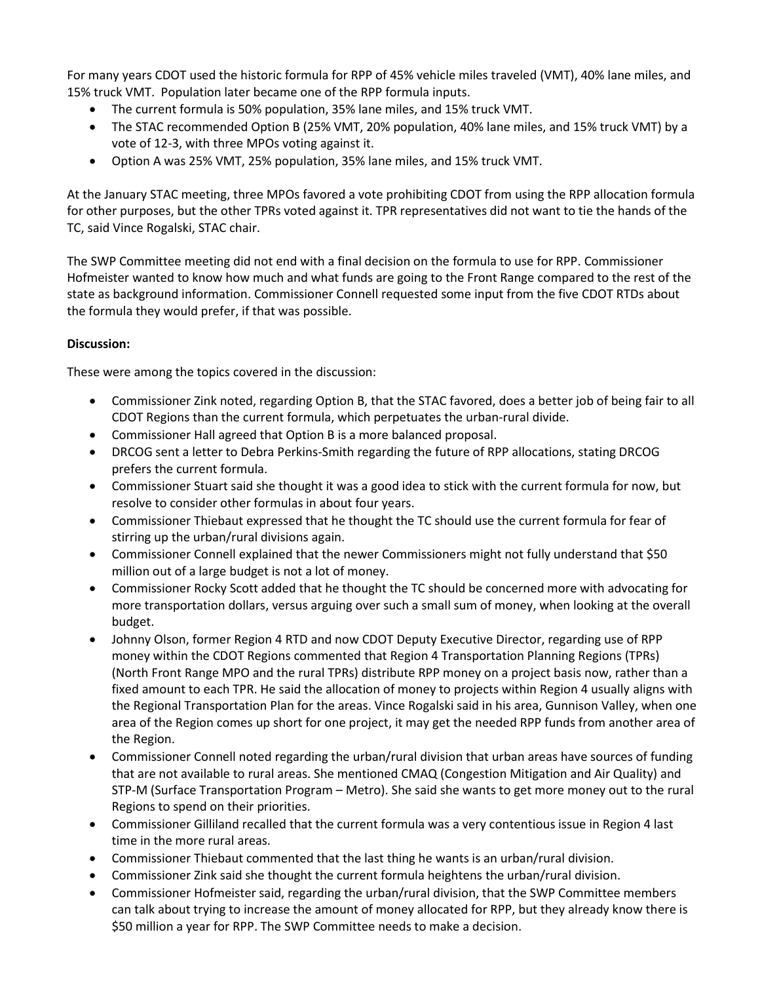For many years CDOT used the historic formula for RPP of 45% vehicle miles traveled (VMT), 40% lane miles, and 15% truck VMT. Population later became one of the RPP formula inputs.

- The current formula is 50% population, 35% lane miles, and 15% truck VMT.
- The STAC recommended Option B (25% VMT, 20% population, 40% lane miles, and 15% truck VMT) by a vote of 12-3, with three MPOs voting against it.
- Option A was 25% VMT, 25% population, 35% lane miles, and 15% truck VMT.

At the January STAC meeting, three MPOs favored a vote prohibiting CDOT from using the RPP allocation formula for other purposes, but the other TPRs voted against it. TPR representatives did not want to tie the hands of the TC, said Vince Rogalski, STAC chair.

The SWP Committee meeting did not end with a final decision on the formula to use for RPP. Commissioner Hofmeister wanted to know how much and what funds are going to the Front Range compared to the rest of the state as background information. Commissioner Connell requested some input from the five CDOT RTDs about the formula they would prefer, if that was possible.

## **Discussion:**

These were among the topics covered in the discussion:

- Commissioner Zink noted, regarding Option B, that the STAC favored, does a better job of being fair to all CDOT Regions than the current formula, which perpetuates the urban-rural divide.
- Commissioner Hall agreed that Option B is a more balanced proposal.
- DRCOG sent a letter to Debra Perkins-Smith regarding the future of RPP allocations, stating DRCOG prefers the current formula.
- Commissioner Stuart said she thought it was a good idea to stick with the current formula for now, but resolve to consider other formulas in about four years.
- Commissioner Thiebaut expressed that he thought the TC should use the current formula for fear of stirring up the urban/rural divisions again.
- Commissioner Connell explained that the newer Commissioners might not fully understand that \$50 million out of a large budget is not a lot of money.
- Commissioner Rocky Scott added that he thought the TC should be concerned more with advocating for more transportation dollars, versus arguing over such a small sum of money, when looking at the overall budget.
- Johnny Olson, former Region 4 RTD and now CDOT Deputy Executive Director, regarding use of RPP money within the CDOT Regions commented that Region 4 Transportation Planning Regions (TPRs) (North Front Range MPO and the rural TPRs) distribute RPP money on a project basis now, rather than a fixed amount to each TPR. He said the allocation of money to projects within Region 4 usually aligns with the Regional Transportation Plan for the areas. Vince Rogalski said in his area, Gunnison Valley, when one area of the Region comes up short for one project, it may get the needed RPP funds from another area of the Region.
- Commissioner Connell noted regarding the urban/rural division that urban areas have sources of funding that are not available to rural areas. She mentioned CMAQ (Congestion Mitigation and Air Quality) and STP-M (Surface Transportation Program – Metro). She said she wants to get more money out to the rural Regions to spend on their priorities.
- Commissioner Gilliland recalled that the current formula was a very contentious issue in Region 4 last time in the more rural areas.
- Commissioner Thiebaut commented that the last thing he wants is an urban/rural division.
- Commissioner Zink said she thought the current formula heightens the urban/rural division.
- Commissioner Hofmeister said, regarding the urban/rural division, that the SWP Committee members can talk about trying to increase the amount of money allocated for RPP, but they already know there is \$50 million a year for RPP. The SWP Committee needs to make a decision.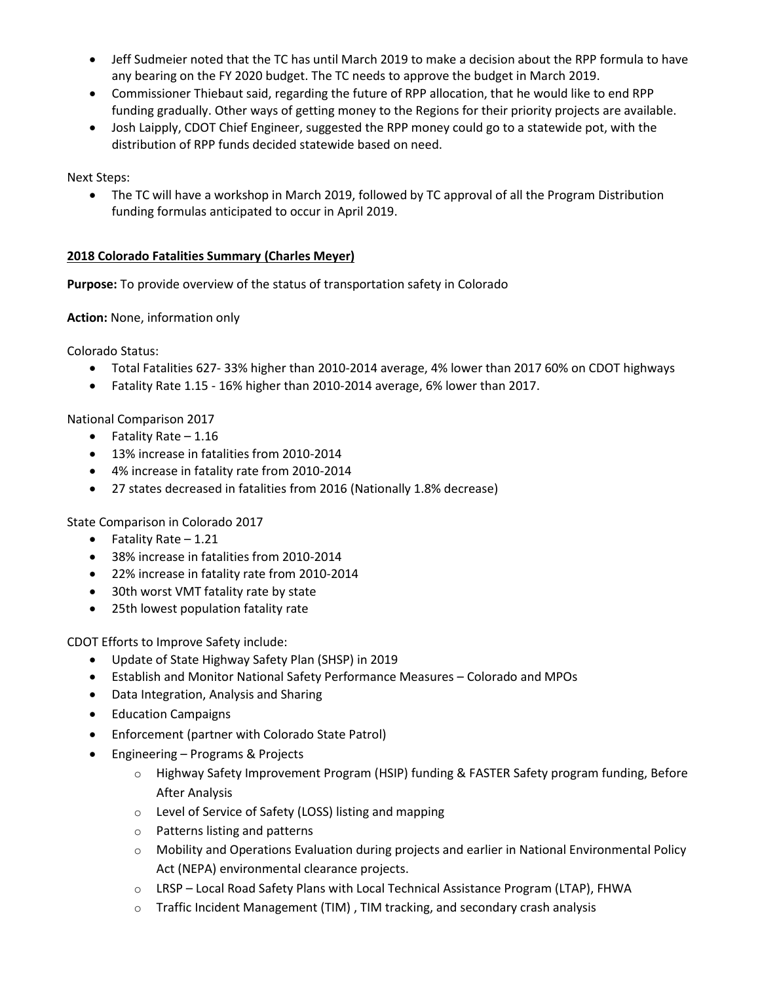- Jeff Sudmeier noted that the TC has until March 2019 to make a decision about the RPP formula to have any bearing on the FY 2020 budget. The TC needs to approve the budget in March 2019.
- Commissioner Thiebaut said, regarding the future of RPP allocation, that he would like to end RPP funding gradually. Other ways of getting money to the Regions for their priority projects are available.
- Josh Laipply, CDOT Chief Engineer, suggested the RPP money could go to a statewide pot, with the distribution of RPP funds decided statewide based on need.

Next Steps:

 The TC will have a workshop in March 2019, followed by TC approval of all the Program Distribution funding formulas anticipated to occur in April 2019.

#### **2018 Colorado Fatalities Summary (Charles Meyer)**

**Purpose:** To provide overview of the status of transportation safety in Colorado

**Action:** None, information only

Colorado Status:

- Total Fatalities 627- 33% higher than 2010-2014 average, 4% lower than 2017 60% on CDOT highways
- Fatality Rate 1.15 16% higher than 2010-2014 average, 6% lower than 2017.

National Comparison 2017

- Fatality Rate  $-1.16$
- 13% increase in fatalities from 2010-2014
- 4% increase in fatality rate from 2010-2014
- 27 states decreased in fatalities from 2016 (Nationally 1.8% decrease)

State Comparison in Colorado 2017

- Fatality Rate  $-1.21$
- 38% increase in fatalities from 2010-2014
- 22% increase in fatality rate from 2010-2014
- 30th worst VMT fatality rate by state
- 25th lowest population fatality rate

CDOT Efforts to Improve Safety include:

- Update of State Highway Safety Plan (SHSP) in 2019
- Establish and Monitor National Safety Performance Measures Colorado and MPOs
- Data Integration, Analysis and Sharing
- Education Campaigns
- Enforcement (partner with Colorado State Patrol)
- Engineering Programs & Projects
	- $\circ$  Highway Safety Improvement Program (HSIP) funding & FASTER Safety program funding, Before After Analysis
	- o Level of Service of Safety (LOSS) listing and mapping
	- o Patterns listing and patterns
	- o Mobility and Operations Evaluation during projects and earlier in National Environmental Policy Act (NEPA) environmental clearance projects.
	- $\circ$  LRSP Local Road Safety Plans with Local Technical Assistance Program (LTAP), FHWA
	- o Traffic Incident Management (TIM) , TIM tracking, and secondary crash analysis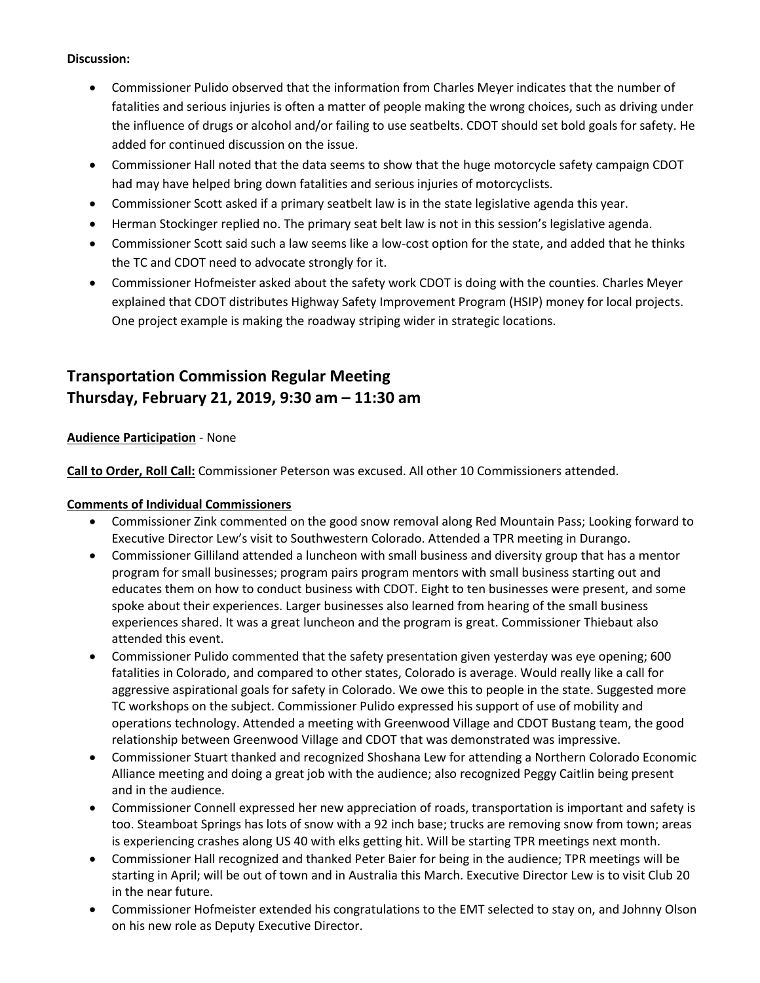#### **Discussion:**

- Commissioner Pulido observed that the information from Charles Meyer indicates that the number of fatalities and serious injuries is often a matter of people making the wrong choices, such as driving under the influence of drugs or alcohol and/or failing to use seatbelts. CDOT should set bold goals for safety. He added for continued discussion on the issue.
- Commissioner Hall noted that the data seems to show that the huge motorcycle safety campaign CDOT had may have helped bring down fatalities and serious injuries of motorcyclists.
- Commissioner Scott asked if a primary seatbelt law is in the state legislative agenda this year.
- Herman Stockinger replied no. The primary seat belt law is not in this session's legislative agenda.
- Commissioner Scott said such a law seems like a low-cost option for the state, and added that he thinks the TC and CDOT need to advocate strongly for it.
- Commissioner Hofmeister asked about the safety work CDOT is doing with the counties. Charles Meyer explained that CDOT distributes Highway Safety Improvement Program (HSIP) money for local projects. One project example is making the roadway striping wider in strategic locations.

# **Transportation Commission Regular Meeting Thursday, February 21, 2019, 9:30 am – 11:30 am**

#### **Audience Participation** - None

**Call to Order, Roll Call:** Commissioner Peterson was excused. All other 10 Commissioners attended.

#### **Comments of Individual Commissioners**

- Commissioner Zink commented on the good snow removal along Red Mountain Pass; Looking forward to Executive Director Lew's visit to Southwestern Colorado. Attended a TPR meeting in Durango.
- Commissioner Gilliland attended a luncheon with small business and diversity group that has a mentor program for small businesses; program pairs program mentors with small business starting out and educates them on how to conduct business with CDOT. Eight to ten businesses were present, and some spoke about their experiences. Larger businesses also learned from hearing of the small business experiences shared. It was a great luncheon and the program is great. Commissioner Thiebaut also attended this event.
- Commissioner Pulido commented that the safety presentation given yesterday was eye opening; 600 fatalities in Colorado, and compared to other states, Colorado is average. Would really like a call for aggressive aspirational goals for safety in Colorado. We owe this to people in the state. Suggested more TC workshops on the subject. Commissioner Pulido expressed his support of use of mobility and operations technology. Attended a meeting with Greenwood Village and CDOT Bustang team, the good relationship between Greenwood Village and CDOT that was demonstrated was impressive.
- Commissioner Stuart thanked and recognized Shoshana Lew for attending a Northern Colorado Economic Alliance meeting and doing a great job with the audience; also recognized Peggy Caitlin being present and in the audience.
- Commissioner Connell expressed her new appreciation of roads, transportation is important and safety is too. Steamboat Springs has lots of snow with a 92 inch base; trucks are removing snow from town; areas is experiencing crashes along US 40 with elks getting hit. Will be starting TPR meetings next month.
- Commissioner Hall recognized and thanked Peter Baier for being in the audience; TPR meetings will be starting in April; will be out of town and in Australia this March. Executive Director Lew is to visit Club 20 in the near future.
- Commissioner Hofmeister extended his congratulations to the EMT selected to stay on, and Johnny Olson on his new role as Deputy Executive Director.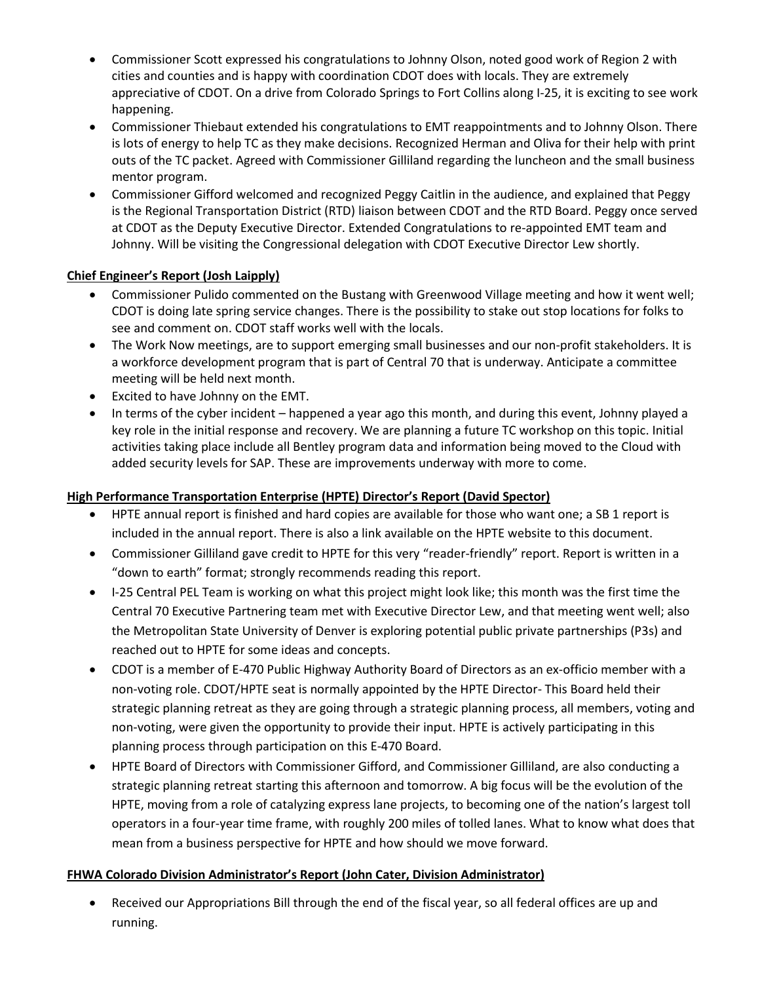- Commissioner Scott expressed his congratulations to Johnny Olson, noted good work of Region 2 with cities and counties and is happy with coordination CDOT does with locals. They are extremely appreciative of CDOT. On a drive from Colorado Springs to Fort Collins along I-25, it is exciting to see work happening.
- Commissioner Thiebaut extended his congratulations to EMT reappointments and to Johnny Olson. There is lots of energy to help TC as they make decisions. Recognized Herman and Oliva for their help with print outs of the TC packet. Agreed with Commissioner Gilliland regarding the luncheon and the small business mentor program.
- Commissioner Gifford welcomed and recognized Peggy Caitlin in the audience, and explained that Peggy is the Regional Transportation District (RTD) liaison between CDOT and the RTD Board. Peggy once served at CDOT as the Deputy Executive Director. Extended Congratulations to re-appointed EMT team and Johnny. Will be visiting the Congressional delegation with CDOT Executive Director Lew shortly.

## **Chief Engineer's Report (Josh Laipply)**

- Commissioner Pulido commented on the Bustang with Greenwood Village meeting and how it went well; CDOT is doing late spring service changes. There is the possibility to stake out stop locations for folks to see and comment on. CDOT staff works well with the locals.
- The Work Now meetings, are to support emerging small businesses and our non-profit stakeholders. It is a workforce development program that is part of Central 70 that is underway. Anticipate a committee meeting will be held next month.
- Excited to have Johnny on the EMT.
- In terms of the cyber incident happened a year ago this month, and during this event, Johnny played a key role in the initial response and recovery. We are planning a future TC workshop on this topic. Initial activities taking place include all Bentley program data and information being moved to the Cloud with added security levels for SAP. These are improvements underway with more to come.

## **High Performance Transportation Enterprise (HPTE) Director's Report (David Spector)**

- HPTE annual report is finished and hard copies are available for those who want one; a SB 1 report is included in the annual report. There is also a link available on the HPTE website to this document.
- Commissioner Gilliland gave credit to HPTE for this very "reader-friendly" report. Report is written in a "down to earth" format; strongly recommends reading this report.
- I-25 Central PEL Team is working on what this project might look like; this month was the first time the Central 70 Executive Partnering team met with Executive Director Lew, and that meeting went well; also the Metropolitan State University of Denver is exploring potential public private partnerships (P3s) and reached out to HPTE for some ideas and concepts.
- CDOT is a member of E-470 Public Highway Authority Board of Directors as an ex-officio member with a non-voting role. CDOT/HPTE seat is normally appointed by the HPTE Director- This Board held their strategic planning retreat as they are going through a strategic planning process, all members, voting and non-voting, were given the opportunity to provide their input. HPTE is actively participating in this planning process through participation on this E-470 Board.
- HPTE Board of Directors with Commissioner Gifford, and Commissioner Gilliland, are also conducting a strategic planning retreat starting this afternoon and tomorrow. A big focus will be the evolution of the HPTE, moving from a role of catalyzing express lane projects, to becoming one of the nation's largest toll operators in a four-year time frame, with roughly 200 miles of tolled lanes. What to know what does that mean from a business perspective for HPTE and how should we move forward.

## **FHWA Colorado Division Administrator's Report (John Cater, Division Administrator)**

 Received our Appropriations Bill through the end of the fiscal year, so all federal offices are up and running.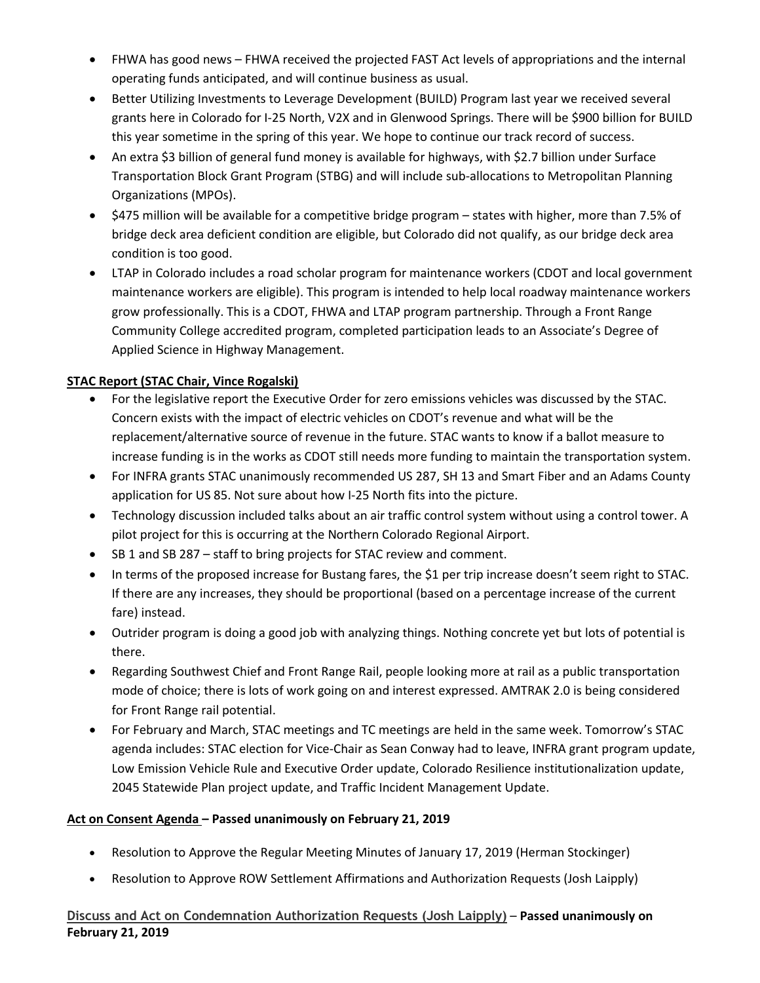- FHWA has good news FHWA received the projected FAST Act levels of appropriations and the internal operating funds anticipated, and will continue business as usual.
- Better Utilizing Investments to Leverage Development (BUILD) Program last year we received several grants here in Colorado for I-25 North, V2X and in Glenwood Springs. There will be \$900 billion for BUILD this year sometime in the spring of this year. We hope to continue our track record of success.
- An extra \$3 billion of general fund money is available for highways, with \$2.7 billion under Surface Transportation Block Grant Program (STBG) and will include sub-allocations to Metropolitan Planning Organizations (MPOs).
- \$475 million will be available for a competitive bridge program states with higher, more than 7.5% of bridge deck area deficient condition are eligible, but Colorado did not qualify, as our bridge deck area condition is too good.
- LTAP in Colorado includes a road scholar program for maintenance workers (CDOT and local government maintenance workers are eligible). This program is intended to help local roadway maintenance workers grow professionally. This is a CDOT, FHWA and LTAP program partnership. Through a Front Range Community College accredited program, completed participation leads to an Associate's Degree of Applied Science in Highway Management.

# **STAC Report (STAC Chair, Vince Rogalski)**

- For the legislative report the Executive Order for zero emissions vehicles was discussed by the STAC. Concern exists with the impact of electric vehicles on CDOT's revenue and what will be the replacement/alternative source of revenue in the future. STAC wants to know if a ballot measure to increase funding is in the works as CDOT still needs more funding to maintain the transportation system.
- For INFRA grants STAC unanimously recommended US 287, SH 13 and Smart Fiber and an Adams County application for US 85. Not sure about how I-25 North fits into the picture.
- Technology discussion included talks about an air traffic control system without using a control tower. A pilot project for this is occurring at the Northern Colorado Regional Airport.
- SB 1 and SB 287 staff to bring projects for STAC review and comment.
- In terms of the proposed increase for Bustang fares, the \$1 per trip increase doesn't seem right to STAC. If there are any increases, they should be proportional (based on a percentage increase of the current fare) instead.
- Outrider program is doing a good job with analyzing things. Nothing concrete yet but lots of potential is there.
- Regarding Southwest Chief and Front Range Rail, people looking more at rail as a public transportation mode of choice; there is lots of work going on and interest expressed. AMTRAK 2.0 is being considered for Front Range rail potential.
- For February and March, STAC meetings and TC meetings are held in the same week. Tomorrow's STAC agenda includes: STAC election for Vice-Chair as Sean Conway had to leave, INFRA grant program update, Low Emission Vehicle Rule and Executive Order update, Colorado Resilience institutionalization update, 2045 Statewide Plan project update, and Traffic Incident Management Update.

# **Act on Consent Agenda – Passed unanimously on February 21, 2019**

- Resolution to Approve the Regular Meeting Minutes of January 17, 2019 (Herman Stockinger)
- Resolution to Approve ROW Settlement Affirmations and Authorization Requests (Josh Laipply)

# **Discuss and Act on Condemnation Authorization Requests (Josh Laipply)** – **Passed unanimously on February 21, 2019**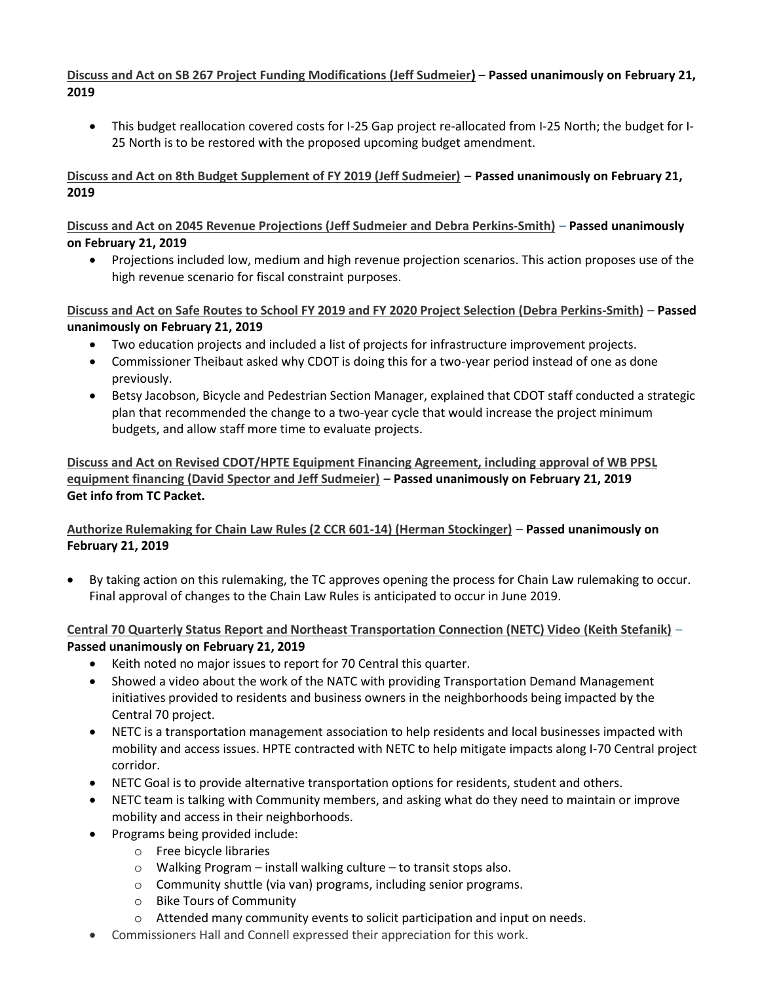**Discuss and Act on SB 267 Project Funding Modifications (Jeff Sudmeier)** – **Passed unanimously on February 21, 2019**

 This budget reallocation covered costs for I-25 Gap project re-allocated from I-25 North; the budget for I-25 North is to be restored with the proposed upcoming budget amendment.

## **[Discuss and Act on 8th Budget Supplement of FY 2019 \(Jeff Sudmeier\)](https://www.codot.gov/about/transportation-commission/documents/2018-agendas-and-supporting-documents/december-2018/8-budget-sup.pdf)** – **Passed unanimously on February 21, 2019**

## **[Discuss and Act on 2045 Revenue](https://www.codot.gov/about/transportation-commission/documents/2018-agendas-and-supporting-documents/december-2018/8-budget-sup.pdf) Projections (Jeff Sudmeier and Debra Perkins-Smith)** – **Passed unanimously on February 21, 2019**

 Projections included low, medium and high revenue projection scenarios. This action proposes use of the high revenue scenario for fiscal constraint purposes.

## **[Discuss and Act on Safe Routes to School FY 2019 and FY 2020 Project Selection \(Debra Perkins-Smith\)](https://www.codot.gov/about/transportation-commission/documents/2018-agendas-and-supporting-documents/december-2018/8-budget-sup.pdf)** – **Passed unanimously on February 21, 2019**

- Two education projects and included a list of projects for infrastructure improvement projects.
- Commissioner Theibaut asked why CDOT is doing this for a two-year period instead of one as done previously.
- Betsy Jacobson, Bicycle and Pedestrian Section Manager, explained that CDOT staff conducted a strategic plan that recommended the change to a two-year cycle that would increase the project minimum [budgets, and allow staff more time to evaluate projects.](https://www.codot.gov/about/transportation-commission/documents/2018-agendas-and-supporting-documents/december-2018/8-budget-sup.pdf)

**[Discuss and Act on Revised CDOT/HPTE Equipment Financing Agreement, including approval of WB PPSL](https://www.codot.gov/about/transportation-commission/documents/2018-agendas-and-supporting-documents/december-2018/8-budget-sup.pdf)  [equipment financing \(David Spector and Jeff Sudmeier\)](https://www.codot.gov/about/transportation-commission/documents/2018-agendas-and-supporting-documents/december-2018/8-budget-sup.pdf)** – **Passed unanimously on February 21, 2019 Get info from TC Packet.** 

# **[Authorize Rulemaking for Chain Law Rules \(2 CCR 601-14\) \(Herman Stockinger\)](https://www.codot.gov/about/transportation-commission/documents/2018-agendas-and-supporting-documents/december-2018/8-budget-sup.pdf)** – **Passed unanimously on February 21, 2019**

 By taking action on this rulemaking, the TC approves opening the process for Chain Law rulemaking to occur. Final approval of changes to the Chain Law Rules is anticipated to occur in June 2019.

## **[Central 70 Quarterly Status Report and Northeast Transportation Connection \(NETC\) Video \(Keith](https://www.codot.gov/about/transportation-commission/documents/2018-agendas-and-supporting-documents/december-2018/8-budget-sup.pdf) Stefanik)** – **Passed unanimously on February 21, 2019**

- Keith noted no major issues to report for 70 Central this quarter.
- Showed a video about the work of the NATC with providing Transportation Demand Management initiatives provided to residents and business owners in the neighborhoods being impacted by the Central 70 project.
- NETC is a transportation management association to help residents and local businesses impacted with mobility and access issues. HPTE contracted with NETC to help mitigate impacts along I-70 Central project corridor.
- NETC Goal is to provide alternative transportation options for residents, student and others.
- NETC team is talking with Community members, and asking what do they need to maintain or improve mobility and access in their neighborhoods.
- Programs being provided include:
	- o Free bicycle libraries
	- $\circ$  Walking Program install walking culture to transit stops also.
	- o Community shuttle (via van) programs, including senior programs.
	- o Bike Tours of Community
	- o Attended many community events to solicit participation and input on needs.
- Commissioners Hall and Connell expressed their appreciation for this work.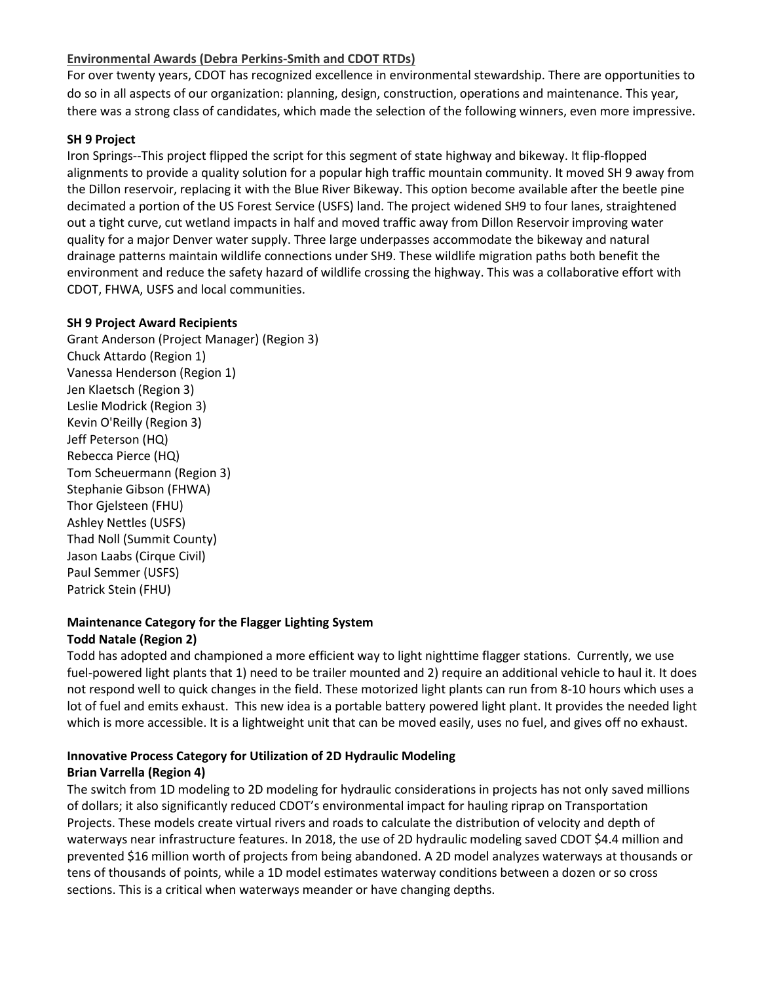#### **Environmental Awards (Debra Perkins-Smith and CDOT RTDs)**

For over twenty years, CDOT has recognized excellence in environmental stewardship. There are opportunities to do so in all aspects of our organization: planning, design, construction, operations and maintenance. This year, there was a strong class of candidates, which made the selection of the following winners, even more impressive.

#### **SH 9 Project**

Iron Springs--This project flipped the script for this segment of state highway and bikeway. It flip-flopped alignments to provide a quality solution for a popular high traffic mountain community. It moved SH 9 away from the Dillon reservoir, replacing it with the Blue River Bikeway. This option become available after the beetle pine decimated a portion of the US Forest Service (USFS) land. The project widened SH9 to four lanes, straightened out a tight curve, cut wetland impacts in half and moved traffic away from Dillon Reservoir improving water quality for a major Denver water supply. Three large underpasses accommodate the bikeway and natural drainage patterns maintain wildlife connections under SH9. These wildlife migration paths both benefit the environment and reduce the safety hazard of wildlife crossing the highway. This was a collaborative effort with CDOT, FHWA, USFS and local communities.

#### **SH 9 Project Award Recipients**

Grant Anderson (Project Manager) (Region 3) Chuck Attardo (Region 1) Vanessa Henderson (Region 1) Jen Klaetsch (Region 3) Leslie Modrick (Region 3) Kevin O'Reilly (Region 3) Jeff Peterson (HQ) Rebecca Pierce (HQ) Tom Scheuermann (Region 3) Stephanie Gibson (FHWA) Thor Gjelsteen (FHU) Ashley Nettles (USFS) Thad Noll (Summit County) Jason Laabs (Cirque Civil) Paul Semmer (USFS) Patrick Stein (FHU)

## **Maintenance Category for the Flagger Lighting System Todd Natale (Region 2)**

Todd has adopted and championed a more efficient way to light nighttime flagger stations. Currently, we use fuel-powered light plants that 1) need to be trailer mounted and 2) require an additional vehicle to haul it. It does not respond well to quick changes in the field. These motorized light plants can run from 8-10 hours which uses a lot of fuel and emits exhaust. This new idea is a portable battery powered light plant. It provides the needed light which is more accessible. It is a lightweight unit that can be moved easily, uses no fuel, and gives off no exhaust.

#### **Innovative Process Category for Utilization of 2D Hydraulic Modeling Brian Varrella (Region 4)**

The switch from 1D modeling to 2D modeling for hydraulic considerations in projects has not only saved millions of dollars; it also significantly reduced CDOT's environmental impact for hauling riprap on Transportation Projects. These models create virtual rivers and roads to calculate the distribution of velocity and depth of waterways near infrastructure features. In 2018, the use of 2D hydraulic modeling saved CDOT \$4.4 million and prevented \$16 million worth of projects from being abandoned. A 2D model analyzes waterways at thousands or tens of thousands of points, while a 1D model estimates waterway conditions between a dozen or so cross sections. This is a critical when waterways meander or have changing depths.